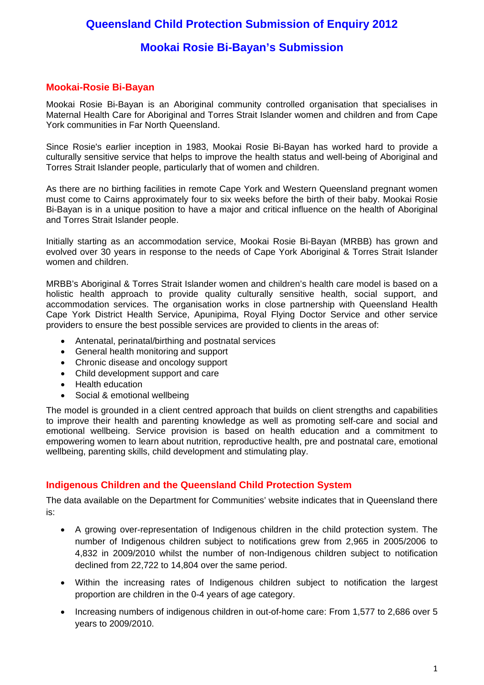# **Queensland Child Protection Submission of Enquiry 2012**

# **Mookai Rosie Bi-Bayan's Submission**

# **Mookai-Rosie Bi-Bayan**

Mookai Rosie Bi-Bayan is an Aboriginal community controlled organisation that specialises in Maternal Health Care for Aboriginal and Torres Strait Islander women and children and from Cape York communities in Far North Queensland.

Since Rosie's earlier inception in 1983, Mookai Rosie Bi-Bayan has worked hard to provide a culturally sensitive service that helps to improve the health status and well-being of Aboriginal and Torres Strait Islander people, particularly that of women and children.

As there are no birthing facilities in remote Cape York and Western Queensland pregnant women must come to Cairns approximately four to six weeks before the birth of their baby. Mookai Rosie Bi-Bayan is in a unique position to have a major and critical influence on the health of Aboriginal and Torres Strait Islander people.

Initially starting as an accommodation service, Mookai Rosie Bi-Bayan (MRBB) has grown and evolved over 30 years in response to the needs of Cape York Aboriginal & Torres Strait Islander women and children.

MRBB's Aboriginal & Torres Strait Islander women and children's health care model is based on a holistic health approach to provide quality culturally sensitive health, social support, and accommodation services. The organisation works in close partnership with Queensland Health Cape York District Health Service, Apunipima, Royal Flying Doctor Service and other service providers to ensure the best possible services are provided to clients in the areas of:

- Antenatal, perinatal/birthing and postnatal services
- General health monitoring and support
- Chronic disease and oncology support
- Child development support and care
- Health education
- Social & emotional wellbeing

The model is grounded in a client centred approach that builds on client strengths and capabilities to improve their health and parenting knowledge as well as promoting self-care and social and emotional wellbeing. Service provision is based on health education and a commitment to empowering women to learn about nutrition, reproductive health, pre and postnatal care, emotional wellbeing, parenting skills, child development and stimulating play.

# **Indigenous Children and the Queensland Child Protection System**

The data available on the Department for Communities' website indicates that in Queensland there is:

- A growing over-representation of Indigenous children in the child protection system. The number of Indigenous children subject to notifications grew from 2,965 in 2005/2006 to 4,832 in 2009/2010 whilst the number of non-Indigenous children subject to notification declined from 22,722 to 14,804 over the same period.
- Within the increasing rates of Indigenous children subject to notification the largest proportion are children in the 0-4 years of age category.
- Increasing numbers of indigenous children in out-of-home care: From 1,577 to 2,686 over 5 years to 2009/2010.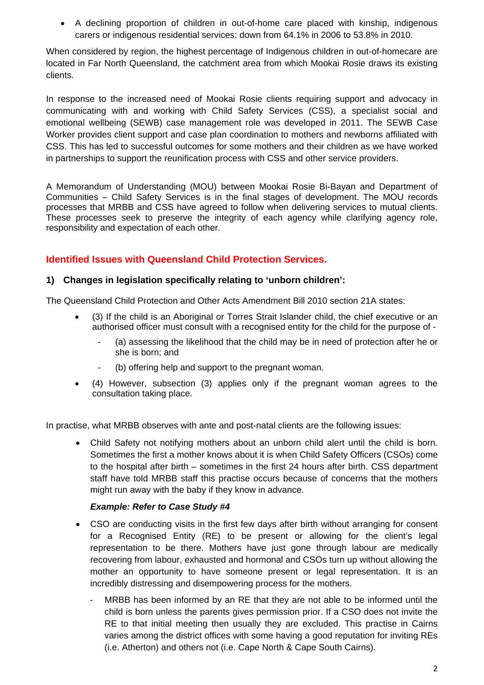A declining proportion of children in out-of-home care placed with kinship, indigenous carers or indigenous residential services: down from 64.1% in 2006 to 53.8% in 2010.

When considered by region, the highest percentage of Indigenous children in out-of-homecare are located in Far North Queensland, the catchment area from which Mookai Rosie draws its existing clients.

In response to the increased need of Mookai Rosie clients requiring support and advocacy in communicating with and working with Child Safety Services (CSS), a specialist social and emotional wellbeing (SEWB) case management role was developed in 2011. The SEWB Case Worker provides client support and case plan coordination to mothers and newborns affiliated with CSS. This has led to successful outcomes for some mothers and their children as we have worked in partnerships to support the reunification process with CSS and other service providers.

A Memorandum of Understanding (MOU) between Mookai Rosie Bi-Bayan and Department of Communities – Child Safety Services is in the final stages of development. The MOU records processes that MRBB and CSS have agreed to follow when delivering services to mutual clients. These processes seek to preserve the integrity of each agency while clarifying agency role, responsibility and expectation of each other.

# **Identified Issues with Queensland Child Protection Services.**

# **1) Changes in legislation specifically relating to 'unborn children':**

The Queensland Child Protection and Other Acts Amendment Bill 2010 section 21A states:

- (3) If the child is an Aboriginal or Torres Strait Islander child, the chief executive or an authorised officer must consult with a recognised entity for the child for the purpose of -
	- (a) assessing the likelihood that the child may be in need of protection after he or she is born; and
	- (b) offering help and support to the pregnant woman.
- (4) However, subsection (3) applies only if the pregnant woman agrees to the consultation taking place.

In practise, what MRBB observes with ante and post-natal clients are the following issues:

 Child Safety not notifying mothers about an unborn child alert until the child is born. Sometimes the first a mother knows about it is when Child Safety Officers (CSOs) come to the hospital after birth – sometimes in the first 24 hours after birth. CSS department staff have told MRBB staff this practise occurs because of concerns that the mothers might run away with the baby if they know in advance.

# *Example: Refer to Case Study #4*

- CSO are conducting visits in the first few days after birth without arranging for consent for a Recognised Entity (RE) to be present or allowing for the client's legal representation to be there. Mothers have just gone through labour are medically recovering from labour, exhausted and hormonal and CSOs turn up without allowing the mother an opportunity to have someone present or legal representation. It is an incredibly distressing and disempowering process for the mothers.
	- MRBB has been informed by an RE that they are not able to be informed until the child is born unless the parents gives permission prior. If a CSO does not invite the RE to that initial meeting then usually they are excluded. This practise in Cairns varies among the district offices with some having a good reputation for inviting REs (i.e. Atherton) and others not (i.e. Cape North & Cape South Cairns).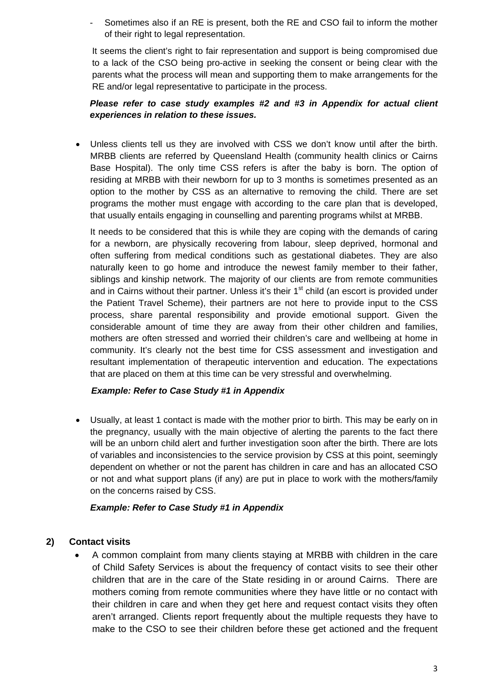Sometimes also if an RE is present, both the RE and CSO fail to inform the mother of their right to legal representation.

It seems the client's right to fair representation and support is being compromised due to a lack of the CSO being pro-active in seeking the consent or being clear with the parents what the process will mean and supporting them to make arrangements for the RE and/or legal representative to participate in the process.

# *Please refer to case study examples #2 and #3 in Appendix for actual client experiences in relation to these issues.*

 Unless clients tell us they are involved with CSS we don't know until after the birth. MRBB clients are referred by Queensland Health (community health clinics or Cairns Base Hospital). The only time CSS refers is after the baby is born. The option of residing at MRBB with their newborn for up to 3 months is sometimes presented as an option to the mother by CSS as an alternative to removing the child. There are set programs the mother must engage with according to the care plan that is developed, that usually entails engaging in counselling and parenting programs whilst at MRBB.

It needs to be considered that this is while they are coping with the demands of caring for a newborn, are physically recovering from labour, sleep deprived, hormonal and often suffering from medical conditions such as gestational diabetes. They are also naturally keen to go home and introduce the newest family member to their father, siblings and kinship network. The majority of our clients are from remote communities and in Cairns without their partner. Unless it's their 1<sup>st</sup> child (an escort is provided under the Patient Travel Scheme), their partners are not here to provide input to the CSS process, share parental responsibility and provide emotional support. Given the considerable amount of time they are away from their other children and families, mothers are often stressed and worried their children's care and wellbeing at home in community. It's clearly not the best time for CSS assessment and investigation and resultant implementation of therapeutic intervention and education. The expectations that are placed on them at this time can be very stressful and overwhelming.

# *Example: Refer to Case Study #1 in Appendix*

 Usually, at least 1 contact is made with the mother prior to birth. This may be early on in the pregnancy, usually with the main objective of alerting the parents to the fact there will be an unborn child alert and further investigation soon after the birth. There are lots of variables and inconsistencies to the service provision by CSS at this point, seemingly dependent on whether or not the parent has children in care and has an allocated CSO or not and what support plans (if any) are put in place to work with the mothers/family on the concerns raised by CSS.

# *Example: Refer to Case Study #1 in Appendix*

# **2) Contact visits**

 A common complaint from many clients staying at MRBB with children in the care of Child Safety Services is about the frequency of contact visits to see their other children that are in the care of the State residing in or around Cairns. There are mothers coming from remote communities where they have little or no contact with their children in care and when they get here and request contact visits they often aren't arranged. Clients report frequently about the multiple requests they have to make to the CSO to see their children before these get actioned and the frequent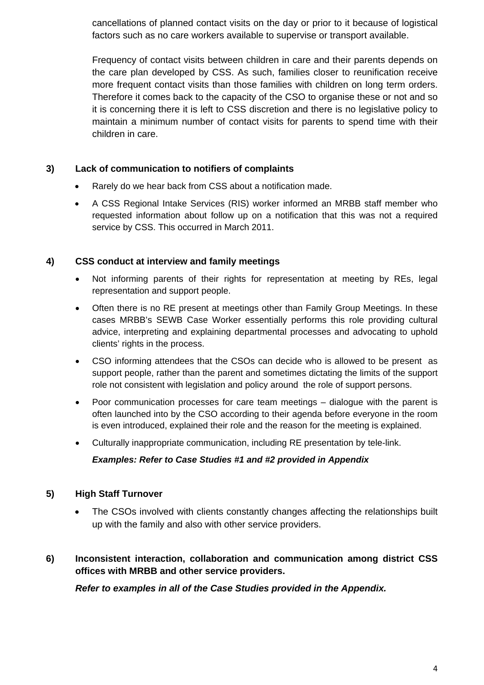cancellations of planned contact visits on the day or prior to it because of logistical factors such as no care workers available to supervise or transport available.

Frequency of contact visits between children in care and their parents depends on the care plan developed by CSS. As such, families closer to reunification receive more frequent contact visits than those families with children on long term orders. Therefore it comes back to the capacity of the CSO to organise these or not and so it is concerning there it is left to CSS discretion and there is no legislative policy to maintain a minimum number of contact visits for parents to spend time with their children in care.

# **3) Lack of communication to notifiers of complaints**

- Rarely do we hear back from CSS about a notification made.
- A CSS Regional Intake Services (RIS) worker informed an MRBB staff member who requested information about follow up on a notification that this was not a required service by CSS. This occurred in March 2011.

# **4) CSS conduct at interview and family meetings**

- Not informing parents of their rights for representation at meeting by REs, legal representation and support people.
- Often there is no RE present at meetings other than Family Group Meetings. In these cases MRBB's SEWB Case Worker essentially performs this role providing cultural advice, interpreting and explaining departmental processes and advocating to uphold clients' rights in the process.
- CSO informing attendees that the CSOs can decide who is allowed to be present as support people, rather than the parent and sometimes dictating the limits of the support role not consistent with legislation and policy around the role of support persons.
- Poor communication processes for care team meetings dialogue with the parent is often launched into by the CSO according to their agenda before everyone in the room is even introduced, explained their role and the reason for the meeting is explained.
- Culturally inappropriate communication, including RE presentation by tele-link.

# *Examples: Refer to Case Studies #1 and #2 provided in Appendix*

# **5) High Staff Turnover**

- The CSOs involved with clients constantly changes affecting the relationships built up with the family and also with other service providers.
- **6) Inconsistent interaction, collaboration and communication among district CSS offices with MRBB and other service providers.**

*Refer to examples in all of the Case Studies provided in the Appendix.*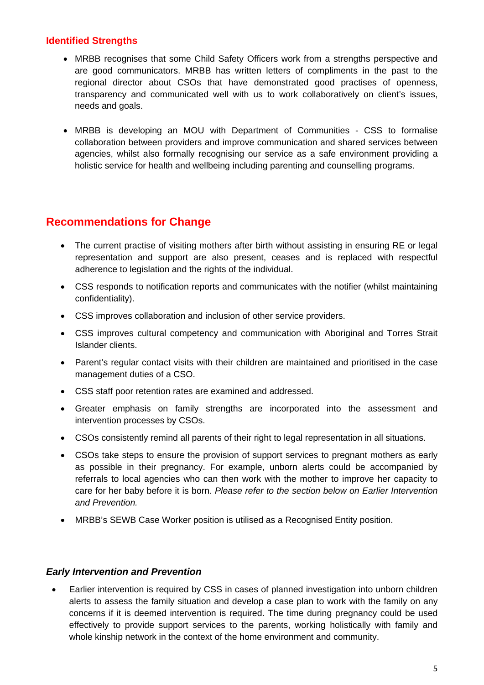# **Identified Strengths**

- MRBB recognises that some Child Safety Officers work from a strengths perspective and are good communicators. MRBB has written letters of compliments in the past to the regional director about CSOs that have demonstrated good practises of openness, transparency and communicated well with us to work collaboratively on client's issues, needs and goals.
- MRBB is developing an MOU with Department of Communities CSS to formalise collaboration between providers and improve communication and shared services between agencies, whilst also formally recognising our service as a safe environment providing a holistic service for health and wellbeing including parenting and counselling programs.

# **Recommendations for Change**

- The current practise of visiting mothers after birth without assisting in ensuring RE or legal representation and support are also present, ceases and is replaced with respectful adherence to legislation and the rights of the individual.
- CSS responds to notification reports and communicates with the notifier (whilst maintaining confidentiality).
- CSS improves collaboration and inclusion of other service providers.
- CSS improves cultural competency and communication with Aboriginal and Torres Strait Islander clients.
- Parent's regular contact visits with their children are maintained and prioritised in the case management duties of a CSO.
- CSS staff poor retention rates are examined and addressed.
- Greater emphasis on family strengths are incorporated into the assessment and intervention processes by CSOs.
- CSOs consistently remind all parents of their right to legal representation in all situations.
- CSOs take steps to ensure the provision of support services to pregnant mothers as early as possible in their pregnancy. For example, unborn alerts could be accompanied by referrals to local agencies who can then work with the mother to improve her capacity to care for her baby before it is born. *Please refer to the section below on Earlier Intervention and Prevention.*
- MRBB's SEWB Case Worker position is utilised as a Recognised Entity position.

# *Early Intervention and Prevention*

 Earlier intervention is required by CSS in cases of planned investigation into unborn children alerts to assess the family situation and develop a case plan to work with the family on any concerns if it is deemed intervention is required. The time during pregnancy could be used effectively to provide support services to the parents, working holistically with family and whole kinship network in the context of the home environment and community.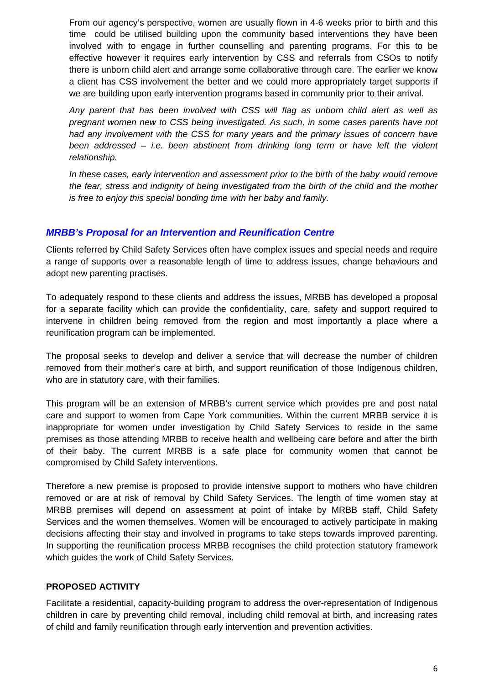From our agency's perspective, women are usually flown in 4-6 weeks prior to birth and this time could be utilised building upon the community based interventions they have been involved with to engage in further counselling and parenting programs. For this to be effective however it requires early intervention by CSS and referrals from CSOs to notify there is unborn child alert and arrange some collaborative through care. The earlier we know a client has CSS involvement the better and we could more appropriately target supports if we are building upon early intervention programs based in community prior to their arrival.

 *Any parent that has been involved with CSS will flag as unborn child alert as well as pregnant women new to CSS being investigated. As such, in some cases parents have not had any involvement with the CSS for many years and the primary issues of concern have been addressed – i.e. been abstinent from drinking long term or have left the violent relationship.* 

 *In these cases, early intervention and assessment prior to the birth of the baby would remove the fear, stress and indignity of being investigated from the birth of the child and the mother is free to enjoy this special bonding time with her baby and family.* 

# *MRBB's Proposal for an Intervention and Reunification Centre*

Clients referred by Child Safety Services often have complex issues and special needs and require a range of supports over a reasonable length of time to address issues, change behaviours and adopt new parenting practises.

To adequately respond to these clients and address the issues, MRBB has developed a proposal for a separate facility which can provide the confidentiality, care, safety and support required to intervene in children being removed from the region and most importantly a place where a reunification program can be implemented.

The proposal seeks to develop and deliver a service that will decrease the number of children removed from their mother's care at birth, and support reunification of those Indigenous children, who are in statutory care, with their families.

This program will be an extension of MRBB's current service which provides pre and post natal care and support to women from Cape York communities. Within the current MRBB service it is inappropriate for women under investigation by Child Safety Services to reside in the same premises as those attending MRBB to receive health and wellbeing care before and after the birth of their baby. The current MRBB is a safe place for community women that cannot be compromised by Child Safety interventions.

Therefore a new premise is proposed to provide intensive support to mothers who have children removed or are at risk of removal by Child Safety Services. The length of time women stay at MRBB premises will depend on assessment at point of intake by MRBB staff, Child Safety Services and the women themselves. Women will be encouraged to actively participate in making decisions affecting their stay and involved in programs to take steps towards improved parenting. In supporting the reunification process MRBB recognises the child protection statutory framework which guides the work of Child Safety Services.

# **PROPOSED ACTIVITY**

Facilitate a residential, capacity-building program to address the over-representation of Indigenous children in care by preventing child removal, including child removal at birth, and increasing rates of child and family reunification through early intervention and prevention activities.